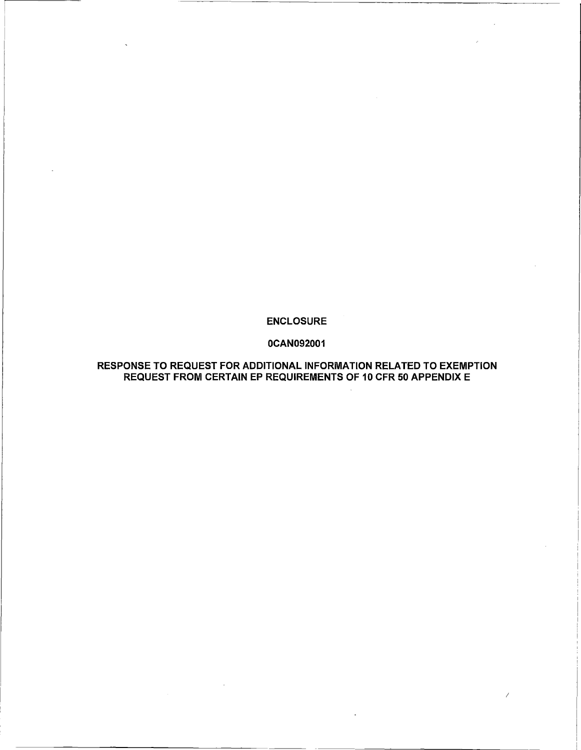## ENCLOSURE

## 0CAN092001

## RESPONSE TO REQUEST FOR ADDITIONAL INFORMATION RELATED TO EXEMPTION REQUEST FROM CERTAIN EP REQUIREMENTS OF 10 CFR 50 APPENDIX E

*I*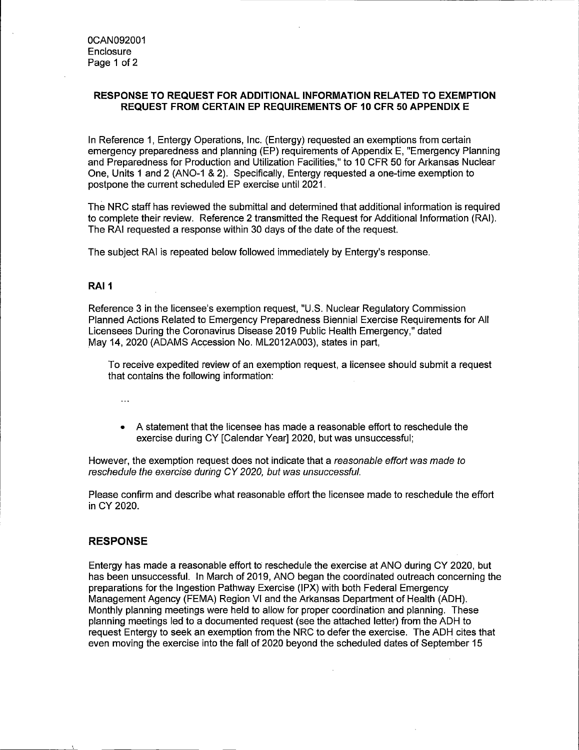## **RESPONSE TO REQUEST FOR ADDITIONAL INFORMATION RELATED TO EXEMPTION REQUEST FROM CERTAIN EP REQUIREMENTS OF 10 CFR 50 APPENDIX E**

In Reference 1, Entergy Operations, Inc. (Entergy) requested an exemptions from certain emergency preparedness and planning (EP) requirements of Appendix E, "Emergency Planning and Preparedness for Production and Utilization Facilities," to 10 CFR 50 for Arkansas Nuclear One, Units 1 and 2 (ANO-1 & 2). Specifically, Entergy requested a one-time exemption to postpone the current scheduled EP exercise until 2021.

The NRC staff has reviewed the submittal and determined that additional information is required to complete their review. Reference 2 transmitted the Request for Additional Information (RAI). The RAI requested a response within 30 days of the date of the request.

The subject RAI is repeated below followed immediately by Entergy's response.

## **RAI 1**

Reference 3 in the licensee's exemption request, "U.S. Nuclear Regulatory Commission Planned Actions Related to Emergency Preparedness Biennial Exercise Requirements for All Licensees During the Coronavirus Disease 2019 Public Health Emergency," dated May 14, 2020 (ADAMS Accession No. ML2012A003), states in part,

To receive expedited review of an exemption request, a licensee should submit a request that contains the following information:

- $\ddotsc$
- A statement that the licensee has made a reasonable effort to reschedule the exercise during CY [Calendar Year] 2020, but was unsuccessful:

However, the exemption request does not indicate that a reasonable effort was made to reschedule the exercise during CY 2020, but was unsuccessful.

Please confirm and describe what reasonable effort the licensee made to reschedule the effort in CY 2020.

## **RESPONSE**

Entergy has made a reasonable effort to reschedule the exercise at ANO during CY 2020, but has been unsuccessful. In March of 2019, ANO began the coordinated outreach concerning the preparations for the Ingestion Pathway Exercise (IPX) with both Federal Emergency Management Agency (FEMA) Region VI and the Arkansas Department of Health (ADH). Monthly planning meetings were held to allow for proper coordination and planning. These planning meetings led to a documented request (see the attached letter) from the ADH to request Entergy to seek an exemption from the NRC to defer the exercise. The ADH cites that even moving the exercise into the fall of 2020 beyond the scheduled dates of September 15

 $\mathbb{R}^2$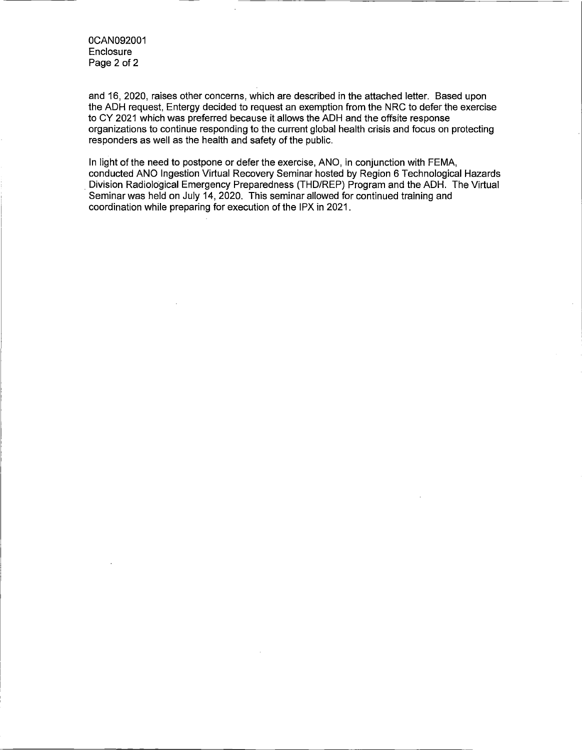0CAN092001 **Enclosure** Page 2 of 2

and 16, 2020, raises other concerns, which are described in the attached letter. Based upon the ADH request, Entergy decided to request an exemption from the NRC to defer the exercise to CY 2021 which was preferred because it allows the ADH and the offsite response organizations to continue responding to the current global health crisis and focus on protecting responders as well as the health and safety of the public.

In light of the need to postpone or defer the exercise, ANO, in conjunction with FEMA, conducted ANO Ingestion Virtual Recovery Seminar hosted by Region 6 Technological Hazards . Division Radiological Emergency Preparedness (THO/REP) Program and the ADH. The Virtual Seminar was held on July 14, 2020. This seminar allowed for continued training and coordination while preparing for execution of the IPX in 2021.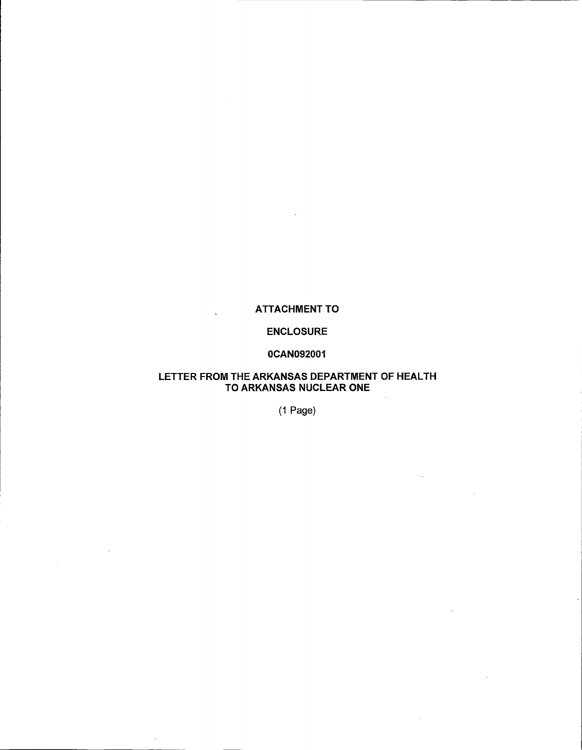# ATTACHMENT TO

## ENCLOSURE

## 0CAN092001

## LETTER FROM THE ARKANSAS DEPARTMENT OF HEALTH TO ARKANSAS NUCLEAR ONE

(1 Page)

 $\sim$   $\sim$